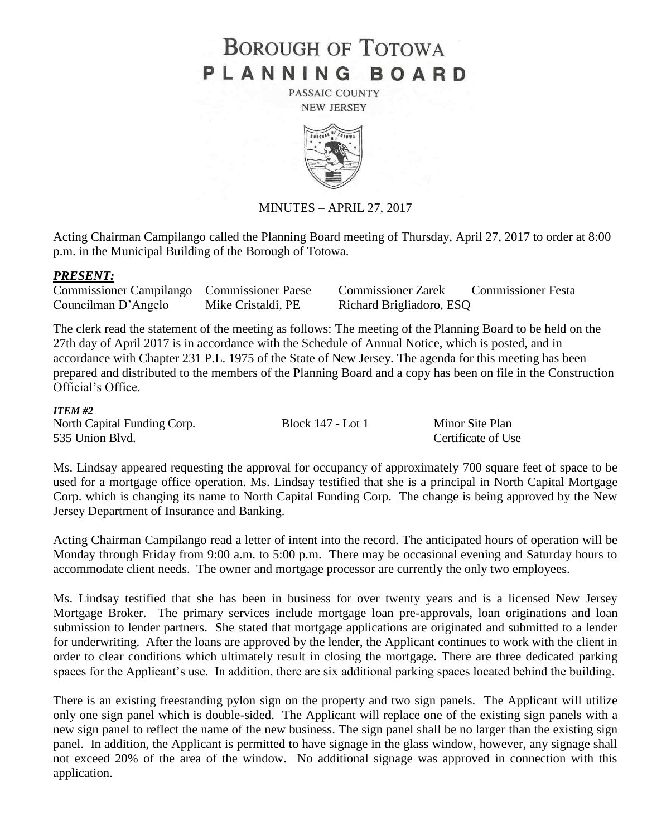# **BOROUGH OF TOTOWA** PLANNING BOARD

PASSAIC COUNTY **NEW JERSEY** 



MINUTES – APRIL 27, 2017

Acting Chairman Campilango called the Planning Board meeting of Thursday, April 27, 2017 to order at 8:00 p.m. in the Municipal Building of the Borough of Totowa.

#### *PRESENT:*

Commissioner Campilango Commissioner Paese Commissioner Zarek Commissioner Festa Councilman D'Angelo Mike Cristaldi, PE Richard Brigliadoro, ESQ

The clerk read the statement of the meeting as follows: The meeting of the Planning Board to be held on the 27th day of April 2017 is in accordance with the Schedule of Annual Notice, which is posted, and in accordance with Chapter 231 P.L. 1975 of the State of New Jersey. The agenda for this meeting has been prepared and distributed to the members of the Planning Board and a copy has been on file in the Construction Official's Office.

#### *ITEM #2*

North Capital Funding Corp. Block 147 - Lot 1 Minor Site Plan 535 Union Blvd. Certificate of Use

Ms. Lindsay appeared requesting the approval for occupancy of approximately 700 square feet of space to be used for a mortgage office operation. Ms. Lindsay testified that she is a principal in North Capital Mortgage Corp. which is changing its name to North Capital Funding Corp. The change is being approved by the New Jersey Department of Insurance and Banking.

Acting Chairman Campilango read a letter of intent into the record. The anticipated hours of operation will be Monday through Friday from 9:00 a.m. to 5:00 p.m. There may be occasional evening and Saturday hours to accommodate client needs. The owner and mortgage processor are currently the only two employees.

Ms. Lindsay testified that she has been in business for over twenty years and is a licensed New Jersey Mortgage Broker. The primary services include mortgage loan pre-approvals, loan originations and loan submission to lender partners. She stated that mortgage applications are originated and submitted to a lender for underwriting. After the loans are approved by the lender, the Applicant continues to work with the client in order to clear conditions which ultimately result in closing the mortgage. There are three dedicated parking spaces for the Applicant's use. In addition, there are six additional parking spaces located behind the building.

There is an existing freestanding pylon sign on the property and two sign panels. The Applicant will utilize only one sign panel which is double-sided. The Applicant will replace one of the existing sign panels with a new sign panel to reflect the name of the new business. The sign panel shall be no larger than the existing sign panel. In addition, the Applicant is permitted to have signage in the glass window, however, any signage shall not exceed 20% of the area of the window. No additional signage was approved in connection with this application.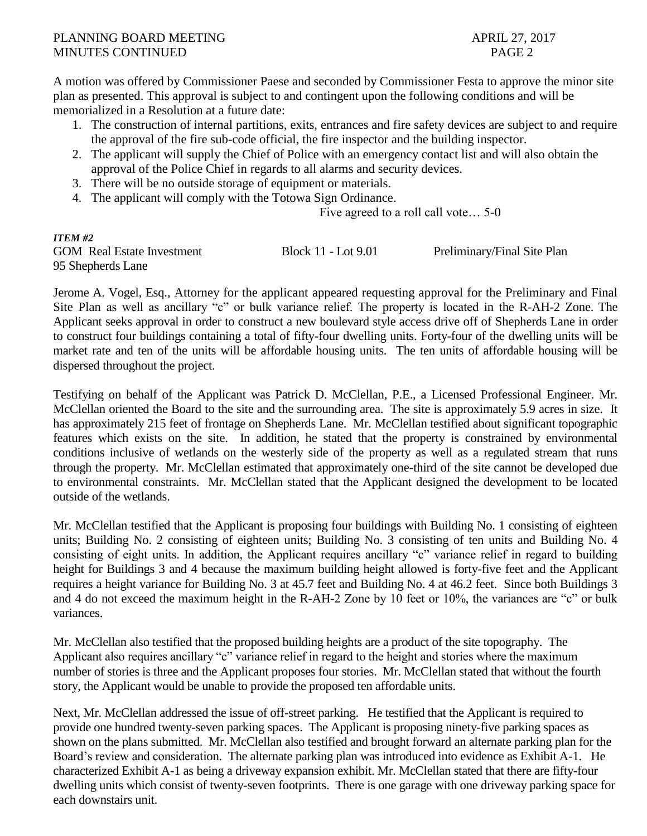A motion was offered by Commissioner Paese and seconded by Commissioner Festa to approve the minor site plan as presented. This approval is subject to and contingent upon the following conditions and will be memorialized in a Resolution at a future date:

- 1. The construction of internal partitions, exits, entrances and fire safety devices are subject to and require the approval of the fire sub-code official, the fire inspector and the building inspector.
- 2. The applicant will supply the Chief of Police with an emergency contact list and will also obtain the approval of the Police Chief in regards to all alarms and security devices.
- 3. There will be no outside storage of equipment or materials.
- 4. The applicant will comply with the Totowa Sign Ordinance.

Five agreed to a roll call vote… 5-0

## *ITEM #2*

95 Shepherds Lane

GOM Real Estate Investment Block 11 - Lot 9.01 Preliminary/Final Site Plan

Jerome A. Vogel, Esq., Attorney for the applicant appeared requesting approval for the Preliminary and Final Site Plan as well as ancillary "c" or bulk variance relief. The property is located in the R-AH-2 Zone. The Applicant seeks approval in order to construct a new boulevard style access drive off of Shepherds Lane in order to construct four buildings containing a total of fifty-four dwelling units. Forty-four of the dwelling units will be market rate and ten of the units will be affordable housing units. The ten units of affordable housing will be dispersed throughout the project.

Testifying on behalf of the Applicant was Patrick D. McClellan, P.E., a Licensed Professional Engineer. Mr. McClellan oriented the Board to the site and the surrounding area. The site is approximately 5.9 acres in size. It has approximately 215 feet of frontage on Shepherds Lane. Mr. McClellan testified about significant topographic features which exists on the site. In addition, he stated that the property is constrained by environmental conditions inclusive of wetlands on the westerly side of the property as well as a regulated stream that runs through the property. Mr. McClellan estimated that approximately one-third of the site cannot be developed due to environmental constraints. Mr. McClellan stated that the Applicant designed the development to be located outside of the wetlands.

Mr. McClellan testified that the Applicant is proposing four buildings with Building No. 1 consisting of eighteen units; Building No. 2 consisting of eighteen units; Building No. 3 consisting of ten units and Building No. 4 consisting of eight units. In addition, the Applicant requires ancillary "c" variance relief in regard to building height for Buildings 3 and 4 because the maximum building height allowed is forty-five feet and the Applicant requires a height variance for Building No. 3 at 45.7 feet and Building No. 4 at 46.2 feet. Since both Buildings 3 and 4 do not exceed the maximum height in the R-AH-2 Zone by 10 feet or 10%, the variances are "c" or bulk variances.

Mr. McClellan also testified that the proposed building heights are a product of the site topography. The Applicant also requires ancillary "c" variance relief in regard to the height and stories where the maximum number of stories is three and the Applicant proposes four stories. Mr. McClellan stated that without the fourth story, the Applicant would be unable to provide the proposed ten affordable units.

Next, Mr. McClellan addressed the issue of off-street parking. He testified that the Applicant is required to provide one hundred twenty-seven parking spaces. The Applicant is proposing ninety-five parking spaces as shown on the plans submitted. Mr. McClellan also testified and brought forward an alternate parking plan for the Board's review and consideration. The alternate parking plan was introduced into evidence as Exhibit A-1. He characterized Exhibit A-1 as being a driveway expansion exhibit. Mr. McClellan stated that there are fifty-four dwelling units which consist of twenty-seven footprints. There is one garage with one driveway parking space for each downstairs unit.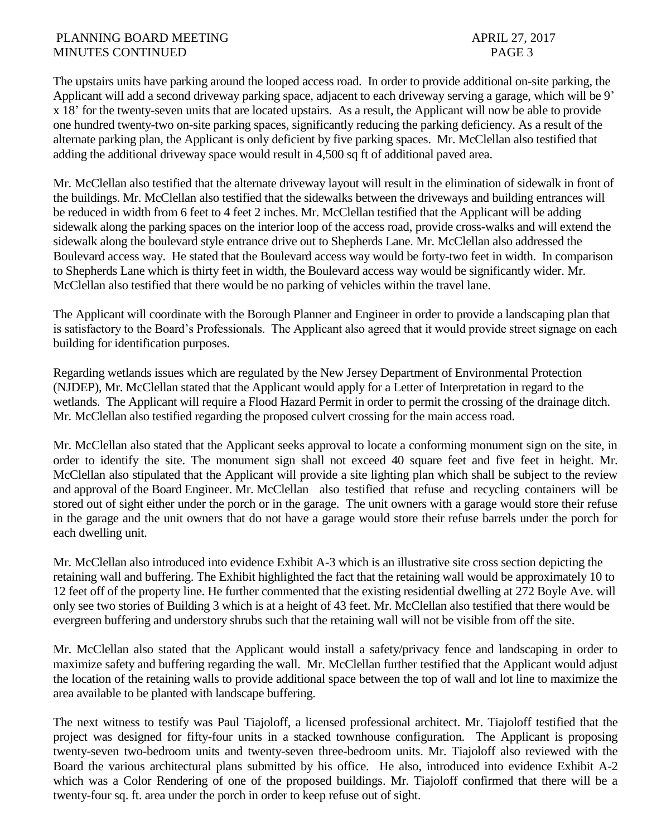The upstairs units have parking around the looped access road. In order to provide additional on-site parking, the Applicant will add a second driveway parking space, adjacent to each driveway serving a garage, which will be 9' x 18' for the twenty-seven units that are located upstairs. As a result, the Applicant will now be able to provide one hundred twenty-two on-site parking spaces, significantly reducing the parking deficiency. As a result of the alternate parking plan, the Applicant is only deficient by five parking spaces. Mr. McClellan also testified that adding the additional driveway space would result in 4,500 sq ft of additional paved area.

Mr. McClellan also testified that the alternate driveway layout will result in the elimination of sidewalk in front of the buildings. Mr. McClellan also testified that the sidewalks between the driveways and building entrances will be reduced in width from 6 feet to 4 feet 2 inches. Mr. McClellan testified that the Applicant will be adding sidewalk along the parking spaces on the interior loop of the access road, provide cross-walks and will extend the sidewalk along the boulevard style entrance drive out to Shepherds Lane. Mr. McClellan also addressed the Boulevard access way. He stated that the Boulevard access way would be forty-two feet in width. In comparison to Shepherds Lane which is thirty feet in width, the Boulevard access way would be significantly wider. Mr. McClellan also testified that there would be no parking of vehicles within the travel lane.

The Applicant will coordinate with the Borough Planner and Engineer in order to provide a landscaping plan that is satisfactory to the Board's Professionals. The Applicant also agreed that it would provide street signage on each building for identification purposes.

Regarding wetlands issues which are regulated by the New Jersey Department of Environmental Protection (NJDEP), Mr. McClellan stated that the Applicant would apply for a Letter of Interpretation in regard to the wetlands. The Applicant will require a Flood Hazard Permit in order to permit the crossing of the drainage ditch. Mr. McClellan also testified regarding the proposed culvert crossing for the main access road.

Mr. McClellan also stated that the Applicant seeks approval to locate a conforming monument sign on the site, in order to identify the site. The monument sign shall not exceed 40 square feet and five feet in height. Mr. McClellan also stipulated that the Applicant will provide a site lighting plan which shall be subject to the review and approval of the Board Engineer. Mr. McClellan also testified that refuse and recycling containers will be stored out of sight either under the porch or in the garage. The unit owners with a garage would store their refuse in the garage and the unit owners that do not have a garage would store their refuse barrels under the porch for each dwelling unit.

Mr. McClellan also introduced into evidence Exhibit A-3 which is an illustrative site cross section depicting the retaining wall and buffering. The Exhibit highlighted the fact that the retaining wall would be approximately 10 to 12 feet off of the property line. He further commented that the existing residential dwelling at 272 Boyle Ave. will only see two stories of Building 3 which is at a height of 43 feet. Mr. McClellan also testified that there would be evergreen buffering and understory shrubs such that the retaining wall will not be visible from off the site.

Mr. McClellan also stated that the Applicant would install a safety/privacy fence and landscaping in order to maximize safety and buffering regarding the wall. Mr. McClellan further testified that the Applicant would adjust the location of the retaining walls to provide additional space between the top of wall and lot line to maximize the area available to be planted with landscape buffering.

The next witness to testify was Paul Tiajoloff, a licensed professional architect. Mr. Tiajoloff testified that the project was designed for fifty-four units in a stacked townhouse configuration. The Applicant is proposing twenty-seven two-bedroom units and twenty-seven three-bedroom units. Mr. Tiajoloff also reviewed with the Board the various architectural plans submitted by his office. He also, introduced into evidence Exhibit A-2 which was a Color Rendering of one of the proposed buildings. Mr. Tiajoloff confirmed that there will be a twenty-four sq. ft. area under the porch in order to keep refuse out of sight.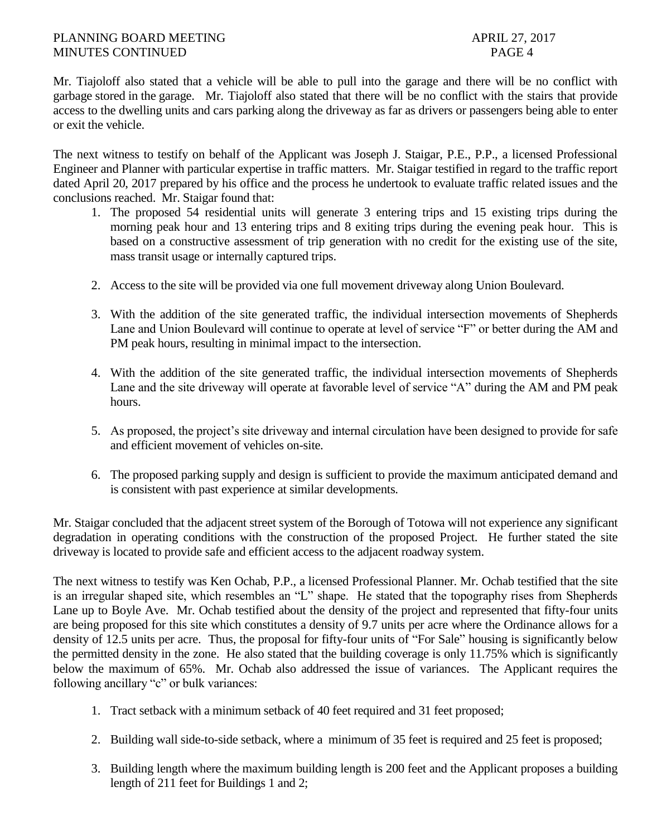Mr. Tiajoloff also stated that a vehicle will be able to pull into the garage and there will be no conflict with garbage stored in the garage. Mr. Tiajoloff also stated that there will be no conflict with the stairs that provide access to the dwelling units and cars parking along the driveway as far as drivers or passengers being able to enter or exit the vehicle.

The next witness to testify on behalf of the Applicant was Joseph J. Staigar, P.E., P.P., a licensed Professional Engineer and Planner with particular expertise in traffic matters. Mr. Staigar testified in regard to the traffic report dated April 20, 2017 prepared by his office and the process he undertook to evaluate traffic related issues and the conclusions reached. Mr. Staigar found that:

- 1. The proposed 54 residential units will generate 3 entering trips and 15 existing trips during the morning peak hour and 13 entering trips and 8 exiting trips during the evening peak hour. This is based on a constructive assessment of trip generation with no credit for the existing use of the site, mass transit usage or internally captured trips.
- 2. Access to the site will be provided via one full movement driveway along Union Boulevard.
- 3. With the addition of the site generated traffic, the individual intersection movements of Shepherds Lane and Union Boulevard will continue to operate at level of service "F" or better during the AM and PM peak hours, resulting in minimal impact to the intersection.
- 4. With the addition of the site generated traffic, the individual intersection movements of Shepherds Lane and the site driveway will operate at favorable level of service "A" during the AM and PM peak hours.
- 5. As proposed, the project's site driveway and internal circulation have been designed to provide for safe and efficient movement of vehicles on-site.
- 6. The proposed parking supply and design is sufficient to provide the maximum anticipated demand and is consistent with past experience at similar developments.

Mr. Staigar concluded that the adjacent street system of the Borough of Totowa will not experience any significant degradation in operating conditions with the construction of the proposed Project. He further stated the site driveway is located to provide safe and efficient access to the adjacent roadway system.

The next witness to testify was Ken Ochab, P.P., a licensed Professional Planner. Mr. Ochab testified that the site is an irregular shaped site, which resembles an "L" shape. He stated that the topography rises from Shepherds Lane up to Boyle Ave. Mr. Ochab testified about the density of the project and represented that fifty-four units are being proposed for this site which constitutes a density of 9.7 units per acre where the Ordinance allows for a density of 12.5 units per acre. Thus, the proposal for fifty-four units of "For Sale" housing is significantly below the permitted density in the zone. He also stated that the building coverage is only 11.75% which is significantly below the maximum of 65%. Mr. Ochab also addressed the issue of variances. The Applicant requires the following ancillary "c" or bulk variances:

- 1. Tract setback with a minimum setback of 40 feet required and 31 feet proposed;
- 2. Building wall side-to-side setback, where a minimum of 35 feet is required and 25 feet is proposed;
- 3. Building length where the maximum building length is 200 feet and the Applicant proposes a building length of 211 feet for Buildings 1 and 2;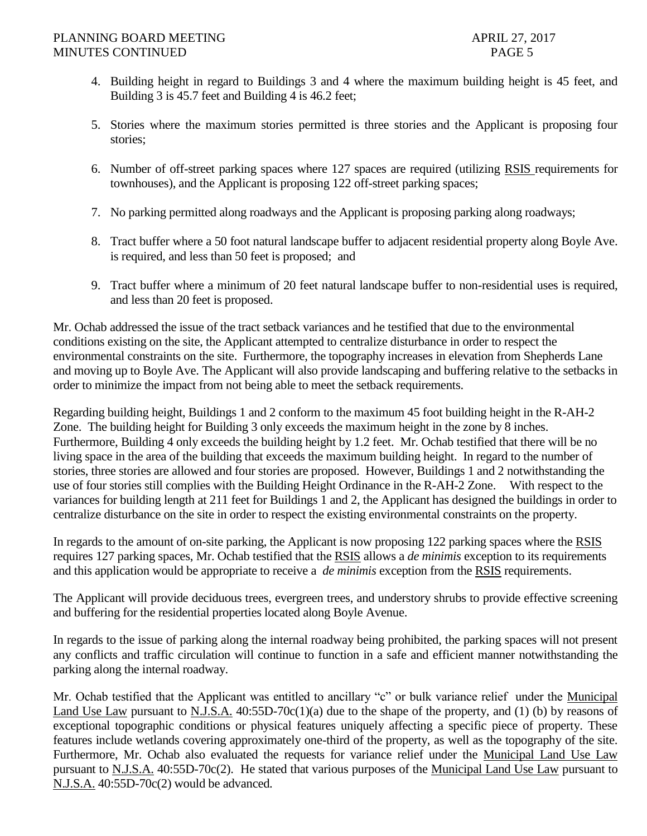- 4. Building height in regard to Buildings 3 and 4 where the maximum building height is 45 feet, and Building 3 is 45.7 feet and Building 4 is 46.2 feet;
- 5. Stories where the maximum stories permitted is three stories and the Applicant is proposing four stories;
- 6. Number of off-street parking spaces where 127 spaces are required (utilizing RSIS requirements for townhouses), and the Applicant is proposing 122 off-street parking spaces;
- 7. No parking permitted along roadways and the Applicant is proposing parking along roadways;
- 8. Tract buffer where a 50 foot natural landscape buffer to adjacent residential property along Boyle Ave. is required, and less than 50 feet is proposed; and
- 9. Tract buffer where a minimum of 20 feet natural landscape buffer to non-residential uses is required, and less than 20 feet is proposed.

Mr. Ochab addressed the issue of the tract setback variances and he testified that due to the environmental conditions existing on the site, the Applicant attempted to centralize disturbance in order to respect the environmental constraints on the site. Furthermore, the topography increases in elevation from Shepherds Lane and moving up to Boyle Ave. The Applicant will also provide landscaping and buffering relative to the setbacks in order to minimize the impact from not being able to meet the setback requirements.

Regarding building height, Buildings 1 and 2 conform to the maximum 45 foot building height in the R-AH-2 Zone. The building height for Building 3 only exceeds the maximum height in the zone by 8 inches. Furthermore, Building 4 only exceeds the building height by 1.2 feet. Mr. Ochab testified that there will be no living space in the area of the building that exceeds the maximum building height. In regard to the number of stories, three stories are allowed and four stories are proposed. However, Buildings 1 and 2 notwithstanding the use of four stories still complies with the Building Height Ordinance in the R-AH-2 Zone. With respect to the variances for building length at 211 feet for Buildings 1 and 2, the Applicant has designed the buildings in order to centralize disturbance on the site in order to respect the existing environmental constraints on the property.

In regards to the amount of on-site parking, the Applicant is now proposing 122 parking spaces where the RSIS requires 127 parking spaces, Mr. Ochab testified that the RSIS allows a *de minimis* exception to its requirements and this application would be appropriate to receive a *de minimis* exception from the RSIS requirements.

The Applicant will provide deciduous trees, evergreen trees, and understory shrubs to provide effective screening and buffering for the residential properties located along Boyle Avenue.

In regards to the issue of parking along the internal roadway being prohibited, the parking spaces will not present any conflicts and traffic circulation will continue to function in a safe and efficient manner notwithstanding the parking along the internal roadway.

Mr. Ochab testified that the Applicant was entitled to ancillary "c" or bulk variance relief under the Municipal Land Use Law pursuant to N.J.S.A. 40:55D-70c(1)(a) due to the shape of the property, and (1) (b) by reasons of exceptional topographic conditions or physical features uniquely affecting a specific piece of property. These features include wetlands covering approximately one-third of the property, as well as the topography of the site. Furthermore, Mr. Ochab also evaluated the requests for variance relief under the Municipal Land Use Law pursuant to N.J.S.A. 40:55D-70c(2). He stated that various purposes of the Municipal Land Use Law pursuant to N.J.S.A. 40:55D-70c(2) would be advanced.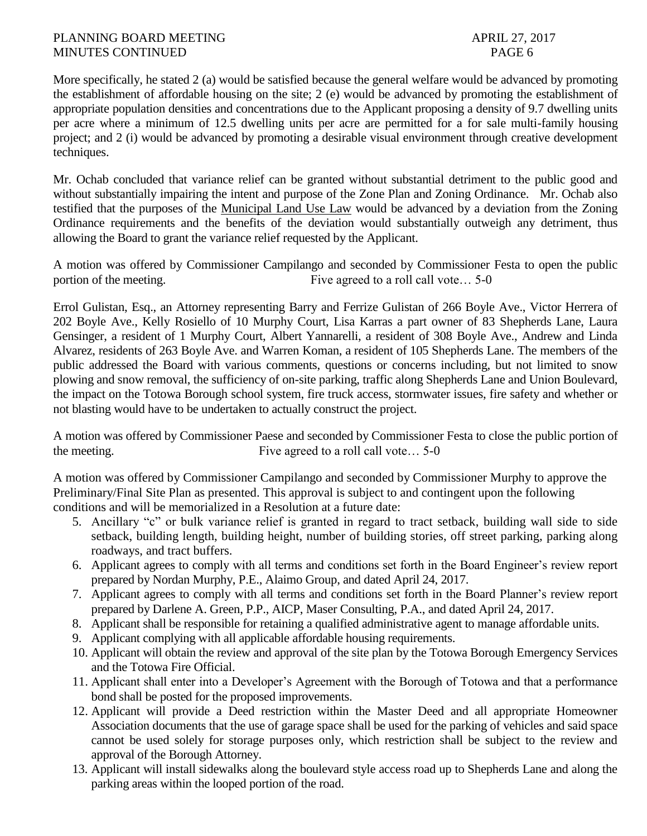More specifically, he stated 2 (a) would be satisfied because the general welfare would be advanced by promoting the establishment of affordable housing on the site; 2 (e) would be advanced by promoting the establishment of appropriate population densities and concentrations due to the Applicant proposing a density of 9.7 dwelling units per acre where a minimum of 12.5 dwelling units per acre are permitted for a for sale multi-family housing project; and 2 (i) would be advanced by promoting a desirable visual environment through creative development techniques.

Mr. Ochab concluded that variance relief can be granted without substantial detriment to the public good and without substantially impairing the intent and purpose of the Zone Plan and Zoning Ordinance. Mr. Ochab also testified that the purposes of the Municipal Land Use Law would be advanced by a deviation from the Zoning Ordinance requirements and the benefits of the deviation would substantially outweigh any detriment, thus allowing the Board to grant the variance relief requested by the Applicant.

A motion was offered by Commissioner Campilango and seconded by Commissioner Festa to open the public portion of the meeting. Five agreed to a roll call vote... 5-0

Errol Gulistan, Esq., an Attorney representing Barry and Ferrize Gulistan of 266 Boyle Ave., Victor Herrera of 202 Boyle Ave., Kelly Rosiello of 10 Murphy Court, Lisa Karras a part owner of 83 Shepherds Lane, Laura Gensinger, a resident of 1 Murphy Court, Albert Yannarelli, a resident of 308 Boyle Ave., Andrew and Linda Alvarez, residents of 263 Boyle Ave. and Warren Koman, a resident of 105 Shepherds Lane. The members of the public addressed the Board with various comments, questions or concerns including, but not limited to snow plowing and snow removal, the sufficiency of on-site parking, traffic along Shepherds Lane and Union Boulevard, the impact on the Totowa Borough school system, fire truck access, stormwater issues, fire safety and whether or not blasting would have to be undertaken to actually construct the project.

A motion was offered by Commissioner Paese and seconded by Commissioner Festa to close the public portion of the meeting. Five agreed to a roll call vote… 5-0

A motion was offered by Commissioner Campilango and seconded by Commissioner Murphy to approve the Preliminary/Final Site Plan as presented. This approval is subject to and contingent upon the following conditions and will be memorialized in a Resolution at a future date:

- 5. Ancillary "c" or bulk variance relief is granted in regard to tract setback, building wall side to side setback, building length, building height, number of building stories, off street parking, parking along roadways, and tract buffers.
- 6. Applicant agrees to comply with all terms and conditions set forth in the Board Engineer's review report prepared by Nordan Murphy, P.E., Alaimo Group, and dated April 24, 2017.
- 7. Applicant agrees to comply with all terms and conditions set forth in the Board Planner's review report prepared by Darlene A. Green, P.P., AICP, Maser Consulting, P.A., and dated April 24, 2017.
- 8. Applicant shall be responsible for retaining a qualified administrative agent to manage affordable units.
- 9. Applicant complying with all applicable affordable housing requirements.
- 10. Applicant will obtain the review and approval of the site plan by the Totowa Borough Emergency Services and the Totowa Fire Official.
- 11. Applicant shall enter into a Developer's Agreement with the Borough of Totowa and that a performance bond shall be posted for the proposed improvements.
- 12. Applicant will provide a Deed restriction within the Master Deed and all appropriate Homeowner Association documents that the use of garage space shall be used for the parking of vehicles and said space cannot be used solely for storage purposes only, which restriction shall be subject to the review and approval of the Borough Attorney.
- 13. Applicant will install sidewalks along the boulevard style access road up to Shepherds Lane and along the parking areas within the looped portion of the road.